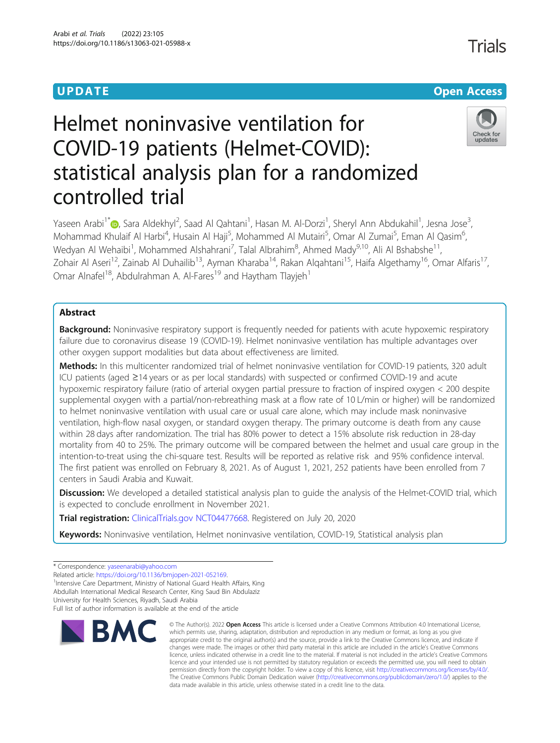# **UPDATE CONSERVATION CONSERVATION**

# Helmet noninvasive ventilation for COVID-19 patients (Helmet-COVID): statistical analysis plan for a randomized controlled trial

Yaseen Arabi<sup>1\*</sup>�, Sara Aldekhyl<sup>2</sup>, Saad Al Qahtani<sup>1</sup>, Hasan M. Al-Dorzi<sup>1</sup>, Sheryl Ann Abdukahil<sup>1</sup>, Jesna Jose<sup>3</sup> , Mohammad Khulaif Al Harbi<sup>4</sup>, Husain Al Haji<sup>5</sup>, Mohammed Al Mutairi<sup>5</sup>, Omar Al Zumai<sup>5</sup>, Eman Al Qasim<sup>6</sup> .<br>, Wedyan Al Wehaibi<sup>1</sup>, Mohammed Alshahrani<sup>7</sup>, Talal Albrahim<sup>8</sup>, Ahmed Mady<sup>9,10</sup>, Ali Al Bshabshe<sup>11</sup>, Zohair Al Aseri<sup>12</sup>, Zainab Al Duhailib<sup>13</sup>, Ayman Kharaba<sup>14</sup>, Rakan Alqahtani<sup>15</sup>, Haifa Algethamy<sup>16</sup>, Omar Alfaris<sup>17</sup>, Omar Alnafel<sup>18</sup>, Abdulrahman A. Al-Fares<sup>19</sup> and Haytham Tlayjeh<sup>1</sup>

# Abstract

**Background:** Noninvasive respiratory support is frequently needed for patients with acute hypoxemic respiratory failure due to coronavirus disease 19 (COVID-19). Helmet noninvasive ventilation has multiple advantages over other oxygen support modalities but data about effectiveness are limited.

Methods: In this multicenter randomized trial of helmet noninvasive ventilation for COVID-19 patients, 320 adult ICU patients (aged ≥14 years or as per local standards) with suspected or confirmed COVID-19 and acute hypoxemic respiratory failure (ratio of arterial oxygen partial pressure to fraction of inspired oxygen < 200 despite supplemental oxygen with a partial/non-rebreathing mask at a flow rate of 10 L/min or higher) will be randomized to helmet noninvasive ventilation with usual care or usual care alone, which may include mask noninvasive ventilation, high-flow nasal oxygen, or standard oxygen therapy. The primary outcome is death from any cause within 28 days after randomization. The trial has 80% power to detect a 15% absolute risk reduction in 28-day mortality from 40 to 25%. The primary outcome will be compared between the helmet and usual care group in the intention-to-treat using the chi-square test. Results will be reported as relative risk and 95% confidence interval. The first patient was enrolled on February 8, 2021. As of August 1, 2021, 252 patients have been enrolled from 7 centers in Saudi Arabia and Kuwait.

**Discussion:** We developed a detailed statistical analysis plan to quide the analysis of the Helmet-COVID trial, which is expected to conclude enrollment in November 2021.

Trial registration: [ClinicalTrials.gov](http://clinicaltrials.gov) [NCT04477668](https://clinicaltrials.gov/ct2/show/NCT04477668). Registered on July 20, 2020

Keywords: Noninvasive ventilation, Helmet noninvasive ventilation, COVID-19, Statistical analysis plan

\* Correspondence: [yaseenarabi@yahoo.com](mailto:yaseenarabi@yahoo.com)

Related article: <https://doi.org/10.1136/bmjopen-2021-052169>.

<sup>1</sup>Intensive Care Department, Ministry of National Guard Health Affairs, King Abdullah International Medical Research Center, King Saud Bin Abdulaziz

University for Health Sciences, Riyadh, Saudi Arabia

Full list of author information is available at the end of the article



<sup>©</sup> The Author(s), 2022 **Open Access** This article is licensed under a Creative Commons Attribution 4.0 International License, which permits use, sharing, adaptation, distribution and reproduction in any medium or format, as long as you give appropriate credit to the original author(s) and the source, provide a link to the Creative Commons licence, and indicate if changes were made. The images or other third party material in this article are included in the article's Creative Commons licence, unless indicated otherwise in a credit line to the material. If material is not included in the article's Creative Commons licence and your intended use is not permitted by statutory regulation or exceeds the permitted use, you will need to obtain permission directly from the copyright holder. To view a copy of this licence, visit [http://creativecommons.org/licenses/by/4.0/.](http://creativecommons.org/licenses/by/4.0/) The Creative Commons Public Domain Dedication waiver [\(http://creativecommons.org/publicdomain/zero/1.0/](http://creativecommons.org/publicdomain/zero/1.0/)) applies to the data made available in this article, unless otherwise stated in a credit line to the data.

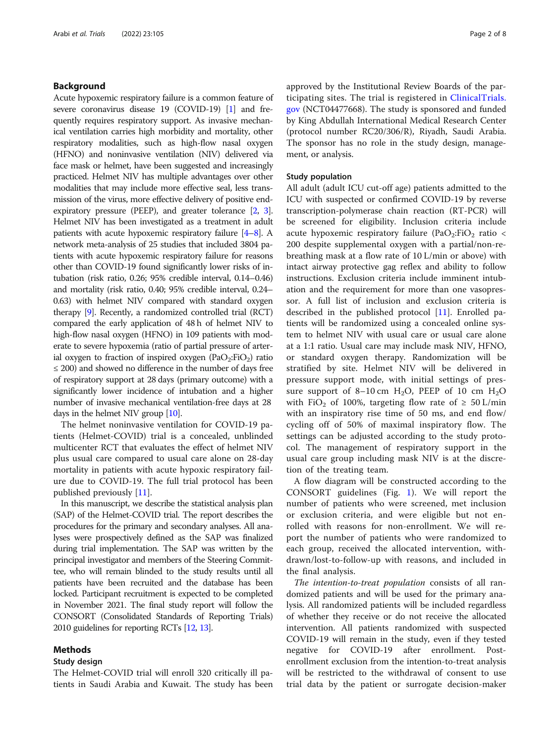# Background

Acute hypoxemic respiratory failure is a common feature of severe coronavirus disease 19 (COVID-19) [\[1](#page-7-0)] and frequently requires respiratory support. As invasive mechanical ventilation carries high morbidity and mortality, other respiratory modalities, such as high-flow nasal oxygen (HFNO) and noninvasive ventilation (NIV) delivered via face mask or helmet, have been suggested and increasingly practiced. Helmet NIV has multiple advantages over other modalities that may include more effective seal, less transmission of the virus, more effective delivery of positive endexpiratory pressure (PEEP), and greater tolerance [\[2,](#page-7-0) [3](#page-7-0)]. Helmet NIV has been investigated as a treatment in adult patients with acute hypoxemic respiratory failure [[4](#page-7-0)–[8\]](#page-7-0). A network meta-analysis of 25 studies that included 3804 patients with acute hypoxemic respiratory failure for reasons other than COVID-19 found significantly lower risks of intubation (risk ratio, 0.26; 95% credible interval, 0.14–0.46) and mortality (risk ratio, 0.40; 95% credible interval, 0.24– 0.63) with helmet NIV compared with standard oxygen therapy [[9](#page-7-0)]. Recently, a randomized controlled trial (RCT) compared the early application of 48 h of helmet NIV to high-flow nasal oxygen (HFNO) in 109 patients with moderate to severe hypoxemia (ratio of partial pressure of arterial oxygen to fraction of inspired oxygen  $(PaO<sub>2</sub>:FiO<sub>2</sub>)$  ratio  $\leq$  200) and showed no difference in the number of days free of respiratory support at 28 days (primary outcome) with a significantly lower incidence of intubation and a higher number of invasive mechanical ventilation-free days at 28 days in the helmet NIV group [\[10\]](#page-7-0).

The helmet noninvasive ventilation for COVID-19 patients (Helmet-COVID) trial is a concealed, unblinded multicenter RCT that evaluates the effect of helmet NIV plus usual care compared to usual care alone on 28-day mortality in patients with acute hypoxic respiratory failure due to COVID-19. The full trial protocol has been published previously [[11\]](#page-7-0).

In this manuscript, we describe the statistical analysis plan (SAP) of the Helmet-COVID trial. The report describes the procedures for the primary and secondary analyses. All analyses were prospectively defined as the SAP was finalized during trial implementation. The SAP was written by the principal investigator and members of the Steering Committee, who will remain blinded to the study results until all patients have been recruited and the database has been locked. Participant recruitment is expected to be completed in November 2021. The final study report will follow the CONSORT (Consolidated Standards of Reporting Trials) 2010 guidelines for reporting RCTs [\[12,](#page-7-0) [13\]](#page-7-0).

# Methods

# Study design

The Helmet-COVID trial will enroll 320 critically ill patients in Saudi Arabia and Kuwait. The study has been approved by the Institutional Review Boards of the participating sites. The trial is registered in [ClinicalTrials.](http://clinicaltrials.gov) [gov](http://clinicaltrials.gov) (NCT04477668). The study is sponsored and funded by King Abdullah International Medical Research Center (protocol number RC20/306/R), Riyadh, Saudi Arabia. The sponsor has no role in the study design, management, or analysis.

#### Study population

All adult (adult ICU cut-off age) patients admitted to the ICU with suspected or confirmed COVID-19 by reverse transcription-polymerase chain reaction (RT-PCR) will be screened for eligibility. Inclusion criteria include acute hypoxemic respiratory failure (PaO<sub>2</sub>:FiO<sub>2</sub> ratio < 200 despite supplemental oxygen with a partial/non-rebreathing mask at a flow rate of 10 L/min or above) with intact airway protective gag reflex and ability to follow instructions. Exclusion criteria include imminent intubation and the requirement for more than one vasopressor. A full list of inclusion and exclusion criteria is described in the published protocol [[11\]](#page-7-0). Enrolled patients will be randomized using a concealed online system to helmet NIV with usual care or usual care alone at a 1:1 ratio. Usual care may include mask NIV, HFNO, or standard oxygen therapy. Randomization will be stratified by site. Helmet NIV will be delivered in pressure support mode, with initial settings of pressure support of 8–10 cm  $H_2O$ , PEEP of 10 cm  $H_2O$ with FiO<sub>2</sub> of 100%, targeting flow rate of  $\geq 50$  L/min with an inspiratory rise time of 50 ms, and end flow/ cycling off of 50% of maximal inspiratory flow. The settings can be adjusted according to the study protocol. The management of respiratory support in the usual care group including mask NIV is at the discretion of the treating team.

A flow diagram will be constructed according to the CONSORT guidelines (Fig. [1\)](#page-2-0). We will report the number of patients who were screened, met inclusion or exclusion criteria, and were eligible but not enrolled with reasons for non-enrollment. We will report the number of patients who were randomized to each group, received the allocated intervention, withdrawn/lost-to-follow-up with reasons, and included in the final analysis.

The intention-to-treat population consists of all randomized patients and will be used for the primary analysis. All randomized patients will be included regardless of whether they receive or do not receive the allocated intervention. All patients randomized with suspected COVID-19 will remain in the study, even if they tested negative for COVID-19 after enrollment. Postenrollment exclusion from the intention-to-treat analysis will be restricted to the withdrawal of consent to use trial data by the patient or surrogate decision-maker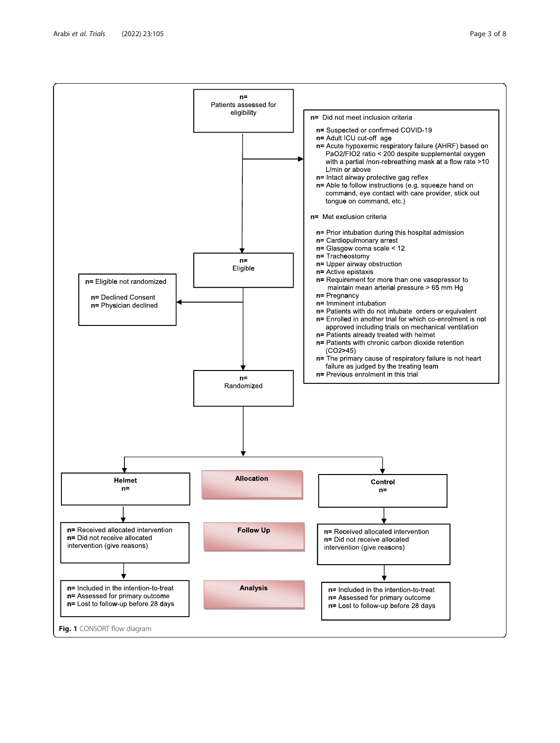<span id="page-2-0"></span>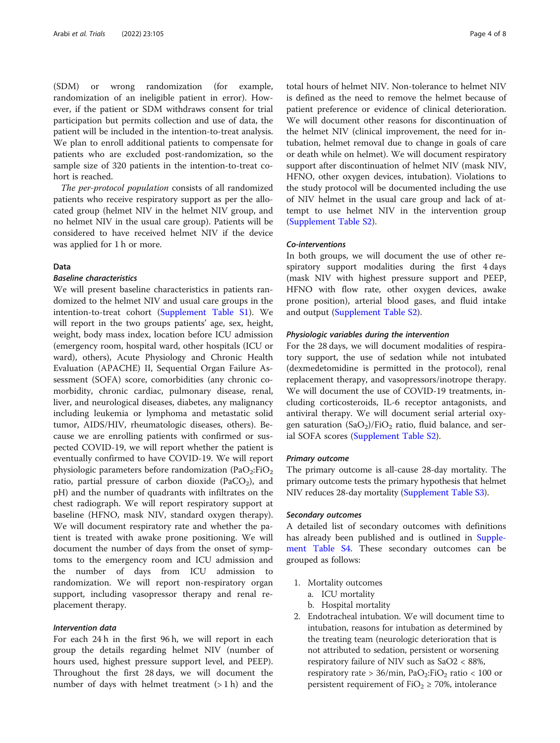(SDM) or wrong randomization (for example, randomization of an ineligible patient in error). However, if the patient or SDM withdraws consent for trial participation but permits collection and use of data, the patient will be included in the intention-to-treat analysis. We plan to enroll additional patients to compensate for patients who are excluded post-randomization, so the sample size of 320 patients in the intention-to-treat cohort is reached.

The per-protocol population consists of all randomized patients who receive respiratory support as per the allocated group (helmet NIV in the helmet NIV group, and no helmet NIV in the usual care group). Patients will be considered to have received helmet NIV if the device was applied for 1 h or more.

# Data

# Baseline characteristics

We will present baseline characteristics in patients randomized to the helmet NIV and usual care groups in the intention-to-treat cohort ([Supplement Table S1\)](#page-6-0). We will report in the two groups patients' age, sex, height, weight, body mass index, location before ICU admission (emergency room, hospital ward, other hospitals (ICU or ward), others), Acute Physiology and Chronic Health Evaluation (APACHE) II, Sequential Organ Failure Assessment (SOFA) score, comorbidities (any chronic comorbidity, chronic cardiac, pulmonary disease, renal, liver, and neurological diseases, diabetes, any malignancy including leukemia or lymphoma and metastatic solid tumor, AIDS/HIV, rheumatologic diseases, others). Because we are enrolling patients with confirmed or suspected COVID-19, we will report whether the patient is eventually confirmed to have COVID-19. We will report physiologic parameters before randomization  $(PaO<sub>2</sub>:FiO<sub>2</sub>)$ ratio, partial pressure of carbon dioxide (PaCO<sub>2</sub>), and pH) and the number of quadrants with infiltrates on the chest radiograph. We will report respiratory support at baseline (HFNO, mask NIV, standard oxygen therapy). We will document respiratory rate and whether the patient is treated with awake prone positioning. We will document the number of days from the onset of symptoms to the emergency room and ICU admission and the number of days from ICU admission to randomization. We will report non-respiratory organ support, including vasopressor therapy and renal replacement therapy.

#### Intervention data

For each 24 h in the first 96 h, we will report in each group the details regarding helmet NIV (number of hours used, highest pressure support level, and PEEP). Throughout the first 28 days, we will document the number of days with helmet treatment  $(> 1 h)$  and the

total hours of helmet NIV. Non-tolerance to helmet NIV is defined as the need to remove the helmet because of patient preference or evidence of clinical deterioration. We will document other reasons for discontinuation of the helmet NIV (clinical improvement, the need for intubation, helmet removal due to change in goals of care or death while on helmet). We will document respiratory support after discontinuation of helmet NIV (mask NIV, HFNO, other oxygen devices, intubation). Violations to the study protocol will be documented including the use of NIV helmet in the usual care group and lack of attempt to use helmet NIV in the intervention group ([Supplement Table S2\)](#page-6-0).

#### Co-interventions

In both groups, we will document the use of other respiratory support modalities during the first 4 days (mask NIV with highest pressure support and PEEP, HFNO with flow rate, other oxygen devices, awake prone position), arterial blood gases, and fluid intake and output [\(Supplement Table S2\)](#page-6-0).

# Physiologic variables during the intervention

For the 28 days, we will document modalities of respiratory support, the use of sedation while not intubated (dexmedetomidine is permitted in the protocol), renal replacement therapy, and vasopressors/inotrope therapy. We will document the use of COVID-19 treatments, including corticosteroids, IL-6 receptor antagonists, and antiviral therapy. We will document serial arterial oxygen saturation  $(SaO<sub>2</sub>)/FiO<sub>2</sub>$  ratio, fluid balance, and serial SOFA scores [\(Supplement Table S2\)](#page-6-0).

#### Primary outcome

The primary outcome is all-cause 28-day mortality. The primary outcome tests the primary hypothesis that helmet NIV reduces 28-day mortality [\(Supplement Table S3\)](#page-6-0).

#### Secondary outcomes

A detailed list of secondary outcomes with definitions has already been published and is outlined in [Supple](#page-6-0)[ment Table S4.](#page-6-0) These secondary outcomes can be grouped as follows:

- 1. Mortality outcomes
	- a. ICU mortality
	- b. Hospital mortality
- 2. Endotracheal intubation. We will document time to intubation, reasons for intubation as determined by the treating team (neurologic deterioration that is not attributed to sedation, persistent or worsening respiratory failure of NIV such as SaO2 < 88%, respiratory rate > 36/min,  $PaO<sub>2</sub>:FiO<sub>2</sub>$  ratio < 100 or persistent requirement of  $FiO<sub>2</sub> \ge 70$ %, intolerance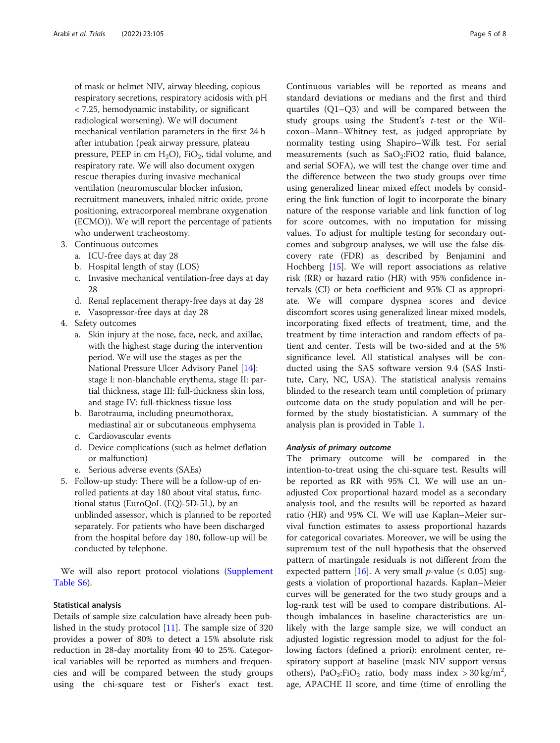of mask or helmet NIV, airway bleeding, copious respiratory secretions, respiratory acidosis with pH < 7.25, hemodynamic instability, or significant radiological worsening). We will document mechanical ventilation parameters in the first 24 h after intubation (peak airway pressure, plateau pressure, PEEP in cm  $H_2O$ ), FiO<sub>2</sub>, tidal volume, and respiratory rate. We will also document oxygen rescue therapies during invasive mechanical ventilation (neuromuscular blocker infusion, recruitment maneuvers, inhaled nitric oxide, prone positioning, extracorporeal membrane oxygenation (ECMO)). We will report the percentage of patients who underwent tracheostomy.

- 3. Continuous outcomes
	- a. ICU-free days at day 28
	- b. Hospital length of stay (LOS)
	- c. Invasive mechanical ventilation-free days at day 28
	- d. Renal replacement therapy-free days at day 28
	- e. Vasopressor-free days at day 28
- 4. Safety outcomes
	- a. Skin injury at the nose, face, neck, and axillae, with the highest stage during the intervention period. We will use the stages as per the National Pressure Ulcer Advisory Panel [\[14](#page-7-0)]: stage I: non-blanchable erythema, stage II: partial thickness, stage III: full-thickness skin loss, and stage IV: full-thickness tissue loss
	- b. Barotrauma, including pneumothorax, mediastinal air or subcutaneous emphysema
	- c. Cardiovascular events
	- d. Device complications (such as helmet deflation or malfunction)
	- e. Serious adverse events (SAEs)
- 5. Follow-up study: There will be a follow-up of enrolled patients at day 180 about vital status, functional status (EuroQoL (EQ)-5D-5L), by an unblinded assessor, which is planned to be reported separately. For patients who have been discharged from the hospital before day 180, follow-up will be conducted by telephone.

We will also report protocol violations ([Supplement](#page-6-0) [Table S6\)](#page-6-0).

#### Statistical analysis

Details of sample size calculation have already been published in the study protocol [[11\]](#page-7-0). The sample size of 320 provides a power of 80% to detect a 15% absolute risk reduction in 28-day mortality from 40 to 25%. Categorical variables will be reported as numbers and frequencies and will be compared between the study groups using the chi-square test or Fisher's exact test.

Continuous variables will be reported as means and standard deviations or medians and the first and third quartiles (Q1–Q3) and will be compared between the study groups using the Student's  $t$ -test or the Wilcoxon–Mann–Whitney test, as judged appropriate by normality testing using Shapiro–Wilk test. For serial measurements (such as  $SaO_2:FiO2$  ratio, fluid balance, and serial SOFA), we will test the change over time and the difference between the two study groups over time using generalized linear mixed effect models by considering the link function of logit to incorporate the binary nature of the response variable and link function of log for score outcomes, with no imputation for missing values. To adjust for multiple testing for secondary outcomes and subgroup analyses, we will use the false discovery rate (FDR) as described by Benjamini and Hochberg [\[15](#page-7-0)]. We will report associations as relative risk (RR) or hazard ratio (HR) with 95% confidence intervals (CI) or beta coefficient and 95% CI as appropriate. We will compare dyspnea scores and device discomfort scores using generalized linear mixed models, incorporating fixed effects of treatment, time, and the treatment by time interaction and random effects of patient and center. Tests will be two-sided and at the 5% significance level. All statistical analyses will be conducted using the SAS software version 9.4 (SAS Institute, Cary, NC, USA). The statistical analysis remains blinded to the research team until completion of primary outcome data on the study population and will be performed by the study biostatistician. A summary of the analysis plan is provided in Table [1](#page-5-0).

#### Analysis of primary outcome

The primary outcome will be compared in the intention-to-treat using the chi-square test. Results will be reported as RR with 95% CI. We will use an unadjusted Cox proportional hazard model as a secondary analysis tool, and the results will be reported as hazard ratio (HR) and 95% CI. We will use Kaplan–Meier survival function estimates to assess proportional hazards for categorical covariates. Moreover, we will be using the supremum test of the null hypothesis that the observed pattern of martingale residuals is not different from the expected pattern [[16\]](#page-7-0). A very small *p*-value ( $\leq$  0.05) suggests a violation of proportional hazards. Kaplan–Meier curves will be generated for the two study groups and a log-rank test will be used to compare distributions. Although imbalances in baseline characteristics are unlikely with the large sample size, we will conduct an adjusted logistic regression model to adjust for the following factors (defined a priori): enrolment center, respiratory support at baseline (mask NIV support versus others), PaO<sub>2</sub>:FiO<sub>2</sub> ratio, body mass index > 30 kg/m<sup>2</sup>, age, APACHE II score, and time (time of enrolling the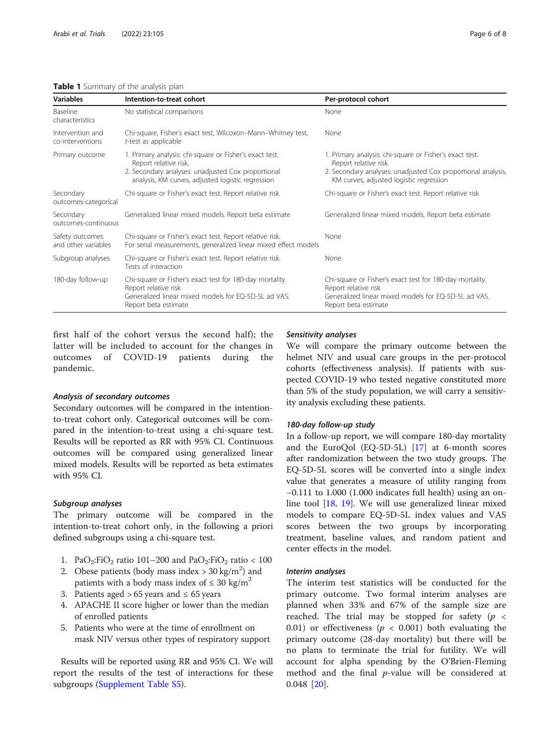# <span id="page-5-0"></span>Table 1 Summary of the analysis plan

| <b>Variables</b>                       | Intention-to-treat cohort                                                                                                                                                                   | Per-protocol cohort                                                                                                                                                                         |
|----------------------------------------|---------------------------------------------------------------------------------------------------------------------------------------------------------------------------------------------|---------------------------------------------------------------------------------------------------------------------------------------------------------------------------------------------|
| Baseline<br>characteristics            | No statistical comparisons                                                                                                                                                                  | None                                                                                                                                                                                        |
| Intervention and<br>co-interventions   | Chi-square, Fisher's exact test, Wilcoxon-Mann-Whitney test,<br>t-test as applicable                                                                                                        | None                                                                                                                                                                                        |
| Primary outcome                        | 1. Primary analysis: chi-square or Fisher's exact test.<br>Report relative risk.<br>2. Secondary analyses: unadjusted Cox proportional<br>analysis, KM curves, adjusted logistic regression | 1. Primary analysis: chi-square or Fisher's exact test.<br>Report relative risk.<br>2. Secondary analyses: unadjusted Cox proportional analysis,<br>KM curves, adjusted logistic regression |
| Secondary<br>outcomes-categorical      | Chi-square or Fisher's exact test. Report relative risk                                                                                                                                     | Chi-square or Fisher's exact test. Report relative risk                                                                                                                                     |
| Secondary<br>outcomes-continuous       | Generalized linear mixed models. Report beta estimate                                                                                                                                       | Generalized linear mixed models. Report beta estimate                                                                                                                                       |
| Safety outcomes<br>and other variables | Chi-square or Fisher's exact test. Report relative risk.<br>For serial measurements, generalized linear mixed effect models                                                                 | None                                                                                                                                                                                        |
| Subgroup analyses                      | Chi-square or Fisher's exact test. Report relative risk.<br>Tests of interaction                                                                                                            | None                                                                                                                                                                                        |
| 180-day follow-up                      | Chi-square or Fisher's exact test for 180-day mortality.<br>Report relative risk<br>Generalized linear mixed models for EQ-5D-5L ad VAS.<br>Report beta estimate                            | Chi-square or Fisher's exact test for 180-day mortality.<br>Report relative risk<br>Generalized linear mixed models for EQ-5D-5L ad VAS.<br>Report beta estimate                            |

first half of the cohort versus the second half); the latter will be included to account for the changes in outcomes of COVID-19 patients during the pandemic.

#### Analysis of secondary outcomes

Secondary outcomes will be compared in the intentionto-treat cohort only. Categorical outcomes will be compared in the intention-to-treat using a chi-square test. Results will be reported as RR with 95% CI. Continuous outcomes will be compared using generalized linear mixed models. Results will be reported as beta estimates with 95% CI.

### Subgroup analyses

The primary outcome will be compared in the intention-to-treat cohort only, in the following a priori defined subgroups using a chi-square test.

- 1. PaO<sub>2</sub>:FiO<sub>2</sub> ratio 101–200 and PaO<sub>2</sub>:FiO<sub>2</sub> ratio < 100
- 2. Obese patients (body mass index  $>$  30 kg/m<sup>2</sup>) and patients with a body mass index of  $\leq 30 \text{ kg/m}^2$
- 3. Patients aged >  $65$  years and ≤  $65$  years
- 4. APACHE II score higher or lower than the median of enrolled patients
- 5. Patients who were at the time of enrollment on mask NIV versus other types of respiratory support

Results will be reported using RR and 95% CI. We will report the results of the test of interactions for these subgroups ([Supplement Table S5\)](#page-6-0).

#### Sensitivity analyses

We will compare the primary outcome between the helmet NIV and usual care groups in the per-protocol cohorts (effectiveness analysis). If patients with suspected COVID-19 who tested negative constituted more than 5% of the study population, we will carry a sensitivity analysis excluding these patients.

#### 180-day follow-up study

In a follow-up report, we will compare 180-day mortality and the EuroQol (EQ-5D-5L) [\[17](#page-7-0)] at 6-month scores after randomization between the two study groups. The EQ-5D-5L scores will be converted into a single index value that generates a measure of utility ranging from −0.111 to 1.000 (1.000 indicates full health) using an online tool [[18,](#page-7-0) [19\]](#page-7-0). We will use generalized linear mixed models to compare EQ-5D-5L index values and VAS scores between the two groups by incorporating treatment, baseline values, and random patient and center effects in the model.

#### Interim analyses

The interim test statistics will be conducted for the primary outcome. Two formal interim analyses are planned when 33% and 67% of the sample size are reached. The trial may be stopped for safety ( $p \leq$ 0.01) or effectiveness ( $p < 0.001$ ) both evaluating the primary outcome (28-day mortality) but there will be no plans to terminate the trial for futility. We will account for alpha spending by the O'Brien-Fleming method and the final  $p$ -value will be considered at 0.048 [\[20](#page-7-0)].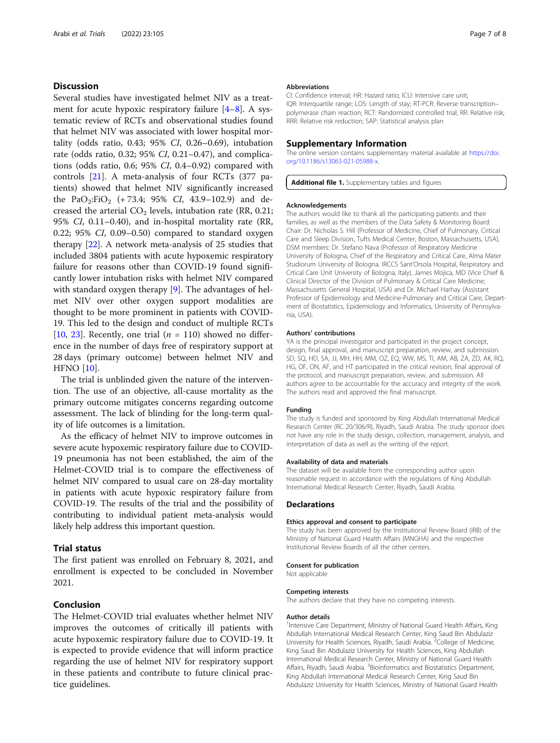# <span id="page-6-0"></span>**Discussion**

Several studies have investigated helmet NIV as a treatment for acute hypoxic respiratory failure [\[4](#page-7-0)–[8](#page-7-0)]. A systematic review of RCTs and observational studies found that helmet NIV was associated with lower hospital mortality (odds ratio, 0.43; 95% CI, 0.26–0.69), intubation rate (odds ratio, 0.32; 95% CI, 0.21–0.47), and complications (odds ratio, 0.6; 95% CI, 0.4–0.92) compared with controls [\[21](#page-7-0)]. A meta-analysis of four RCTs (377 patients) showed that helmet NIV significantly increased the PaO<sub>2</sub>:FiO<sub>2</sub> (+73.4; 95% CI, 43.9–102.9) and decreased the arterial  $CO<sub>2</sub>$  levels, intubation rate (RR, 0.21; 95% CI, 0.11–0.40), and in-hospital mortality rate (RR, 0.22; 95% CI, 0.09–0.50) compared to standard oxygen therapy [[22\]](#page-7-0). A network meta-analysis of 25 studies that included 3804 patients with acute hypoxemic respiratory failure for reasons other than COVID-19 found significantly lower intubation risks with helmet NIV compared with standard oxygen therapy [\[9](#page-7-0)]. The advantages of helmet NIV over other oxygen support modalities are thought to be more prominent in patients with COVID-19. This led to the design and conduct of multiple RCTs [[10,](#page-7-0) [23](#page-7-0)]. Recently, one trial  $(n = 110)$  showed no difference in the number of days free of respiratory support at 28 days (primary outcome) between helmet NIV and HFNO [[10](#page-7-0)].

The trial is unblinded given the nature of the intervention. The use of an objective, all-cause mortality as the primary outcome mitigates concerns regarding outcome assessment. The lack of blinding for the long-term quality of life outcomes is a limitation.

As the efficacy of helmet NIV to improve outcomes in severe acute hypoxemic respiratory failure due to COVID-19 pneumonia has not been established, the aim of the Helmet-COVID trial is to compare the effectiveness of helmet NIV compared to usual care on 28-day mortality in patients with acute hypoxic respiratory failure from COVID-19. The results of the trial and the possibility of contributing to individual patient meta-analysis would likely help address this important question.

# Trial status

The first patient was enrolled on February 8, 2021, and enrollment is expected to be concluded in November 2021.

# Conclusion

The Helmet-COVID trial evaluates whether helmet NIV improves the outcomes of critically ill patients with acute hypoxemic respiratory failure due to COVID-19. It is expected to provide evidence that will inform practice regarding the use of helmet NIV for respiratory support in these patients and contribute to future clinical practice guidelines.

#### Abbreviations

CI: Confidence interval; HR: Hazard ratio; ICU: Intensive care unit; IQR: Interquartile range; LOS: Length of stay; RT-PCR: Reverse transcription– polymerase chain reaction; RCT: Randomized controlled trial; RR: Relative risk; RRR: Relative risk reduction; SAP: Statistical analysis plan

#### Supplementary Information

The online version contains supplementary material available at [https://doi.](https://doi.org/10.1186/s13063-021-05988-x) [org/10.1186/s13063-021-05988-x](https://doi.org/10.1186/s13063-021-05988-x).

## Additional file 1. Supplementary tables and figures

#### Acknowledgements

The authors would like to thank all the participating patients and their families, as well as the members of the Data Safety & Monitoring Board: Chair: Dr. Nicholas S. Hill (Professor of Medicine, Chief of Pulmonary, Critical Care and Sleep Division, Tufts Medical Center, Boston, Massachusetts, USA), DSM members: Dr. Stefano Nava (Professor of Respiratory Medicine University of Bologna, Chief of the Respiratory and Critical Care, Alma Mater Studiorum University of Bologna. IRCCS Sant'Orsola Hospital, Respiratory and Crtical Care Unit University of Bologna, Italy), James Mojica, MD (Vice Chief & Clinical Director of the Division of Pulmonary & Critical Care Medicine; Massachusetts General Hospital, USA) and Dr. Michael Harhay (Assistant Professor of Epidemiology and Medicine-Pulmonary and Critical Care, Department of Biostatistics, Epidemiology and Informatics, University of Pennsylvania, USA).

#### Authors' contributions

YA is the principal investigator and participated in the project concept, design, final approval, and manuscript preparation, review, and submission. SD, SQ, HD, SA, JJ, MH, HH, MM, OZ, EQ, WW, MS, TI, AM, AB, ZA, ZD, AK, RQ, HG, OF, ON, AF, and HT participated in the critical revision, final approval of the protocol, and manuscript preparation, review, and submission. All authors agree to be accountable for the accuracy and integrity of the work. The authors read and approved the final manuscript.

#### Funding

The study is funded and sponsored by King Abdullah International Medical Research Center (RC 20/306/R), Riyadh, Saudi Arabia. The study sponsor does not have any role in the study design, collection, management, analysis, and interpretation of data as well as the writing of the report.

#### Availability of data and materials

The dataset will be available from the corresponding author upon reasonable request in accordance with the regulations of King Abdullah International Medical Research Center, Riyadh, Saudi Arabia.

#### Declarations

#### Ethics approval and consent to participate

The study has been approved by the Institutional Review Board (IRB) of the Ministry of National Guard Health Affairs (MNGHA) and the respective Institutional Review Boards of all the other centers.

#### Consent for publication

Not applicable

#### Competing interests

The authors declare that they have no competing interests.

#### Author details

<sup>1</sup>Intensive Care Department, Ministry of National Guard Health Affairs, King Abdullah International Medical Research Center, King Saud Bin Abdulaziz University for Health Sciences, Riyadh, Saudi Arabia.<sup>2</sup> College of Medicine, King Saud Bin Abdulaziz University for Health Sciences, King Abdullah International Medical Research Center, Ministry of National Guard Health Affairs, Riyadh, Saudi Arabia. <sup>3</sup> Bioinformatics and Biostatistics Department, King Abdullah International Medical Research Center, King Saud Bin Abdulaziz University for Health Sciences, Ministry of National Guard Health